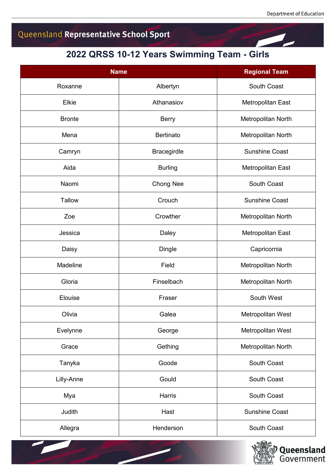## Queensland Representative School Sport

## **2022 QRSS 10-12 Years Swimming Team - Girls**

| <b>Name</b>   |                    | <b>Regional Team</b>  |
|---------------|--------------------|-----------------------|
| Roxanne       | Albertyn           | South Coast           |
| Elkie         | Athanasiov         | Metropolitan East     |
| <b>Bronte</b> | <b>Berry</b>       | Metropolitan North    |
| Mena          | <b>Bertinato</b>   | Metropolitan North    |
| Camryn        | <b>Bracegirdle</b> | <b>Sunshine Coast</b> |
| Aida          | <b>Burling</b>     | Metropolitan East     |
| Naomi         | Chong Nee          | South Coast           |
| <b>Tallow</b> | Crouch             | <b>Sunshine Coast</b> |
| Zoe           | Crowther           | Metropolitan North    |
| Jessica       | Daley              | Metropolitan East     |
| Daisy         | <b>Dingle</b>      | Capricornia           |
| Madeline      | Field              | Metropolitan North    |
| Gloria        | Finselbach         | Metropolitan North    |
| Elouise       | Fraser             | South West            |
| Olivia        | Galea              | Metropolitan West     |
| Evelynne      | George             | Metropolitan West     |
| Grace         | Gething            | Metropolitan North    |
| Tanyka        | Goode              | South Coast           |
| Lilly-Anne    | Gould              | South Coast           |
| Mya           | Harris             | South Coast           |
| Judith        | Hast               | <b>Sunshine Coast</b> |
| Allegra       | Henderson          | South Coast           |

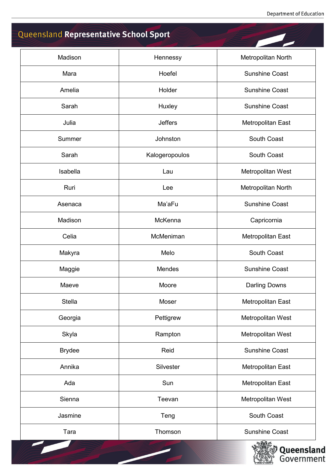## Queensland Representative School Sport

| Madison       | Hennessy       | Metropolitan North    |
|---------------|----------------|-----------------------|
| Mara          | Hoefel         | <b>Sunshine Coast</b> |
| Amelia        | Holder         | <b>Sunshine Coast</b> |
| Sarah         | Huxley         | <b>Sunshine Coast</b> |
| Julia         | <b>Jeffers</b> | Metropolitan East     |
| Summer        | Johnston       | South Coast           |
| Sarah         | Kalogeropoulos | <b>South Coast</b>    |
| Isabella      | Lau            | Metropolitan West     |
| Ruri          | Lee            | Metropolitan North    |
| Asenaca       | Ma'aFu         | <b>Sunshine Coast</b> |
| Madison       | McKenna        | Capricornia           |
| Celia         | McMeniman      | Metropolitan East     |
| Makyra        | Melo           | South Coast           |
| Maggie        | Mendes         | <b>Sunshine Coast</b> |
| Maeve         | Moore          | <b>Darling Downs</b>  |
| Stella        | Moser          | Metropolitan East     |
| Georgia       | Pettigrew      | Metropolitan West     |
| Skyla         | Rampton        | Metropolitan West     |
| <b>Brydee</b> | Reid           | <b>Sunshine Coast</b> |
| Annika        | Silvester      | Metropolitan East     |
| Ada           | Sun            | Metropolitan East     |
| Sienna        | Teevan         | Metropolitan West     |
| Jasmine       | Teng           | South Coast           |
| Tara          | Thomson        | <b>Sunshine Coast</b> |